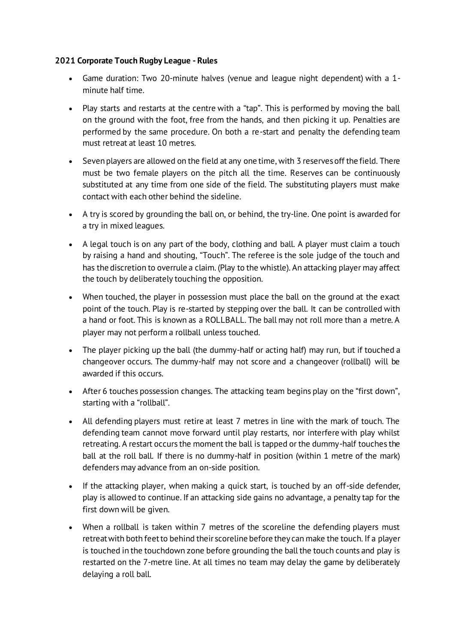## **2021 Corporate Touch Rugby League - Rules**

- Game duration: Two 20-minute halves (venue and league night dependent) with a 1 minute half time.
- Play starts and restarts at the centre with a "tap". This is performed by moving the ball on the ground with the foot, free from the hands, and then picking it up. Penalties are performed by the same procedure. On both a re-start and penalty the defending team must retreat at least 10 metres.
- Seven players are allowed on the field at any one time, with 3 reserves off the field. There must be two female players on the pitch all the time. Reserves can be continuously substituted at any time from one side of the field. The substituting players must make contact with each other behind the sideline.
- A try is scored by grounding the ball on, or behind, the try-line. One point is awarded for a try in mixed leagues.
- A legal touch is on any part of the body, clothing and ball. A player must claim a touch by raising a hand and shouting, "Touch". The referee is the sole judge of the touch and has the discretion to overrule a claim. (Play to the whistle). An attacking player may affect the touch by deliberately touching the opposition.
- When touched, the player in possession must place the ball on the ground at the exact point of the touch. Play is re-started by stepping over the ball. It can be controlled with a hand or foot. This is known as a ROLLBALL. The ball may not roll more than a metre. A player may not perform a rollball unless touched.
- The player picking up the ball (the dummy-half or acting half) may run, but if touched a changeover occurs. The dummy-half may not score and a changeover (rollball) will be awarded if this occurs.
- After 6 touches possession changes. The attacking team begins play on the "first down", starting with a "rollball".
- All defending players must retire at least 7 metres in line with the mark of touch. The defending team cannot move forward until play restarts, nor interfere with play whilst retreating. A restart occurs the moment the ball is tapped or the dummy-half touches the ball at the roll ball. If there is no dummy-half in position (within 1 metre of the mark) defenders may advance from an on-side position.
- If the attacking player, when making a quick start, is touched by an off-side defender, play is allowed to continue. If an attacking side gains no advantage, a penalty tap for the first down will be given.
- When a rollball is taken within 7 metres of the scoreline the defending players must retreat with both feet to behind their scoreline before they can make the touch. If a player is touched in the touchdown zone before grounding the ball the touch counts and play is restarted on the 7-metre line. At all times no team may delay the game by deliberately delaying a roll ball.